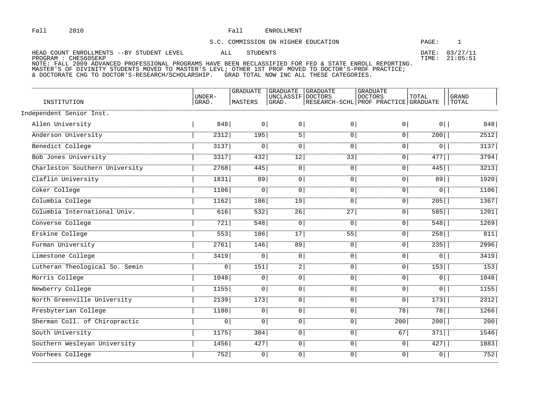## Fall ENROLLMENT

## S.C. COMMISSION ON HIGHER EDUCATION

PAGE: 1

| HEAD COUNT ENROLLMENTS --BY STUDENT LEVEL                                                               | ALL | STUDENTS |  |  | DATE: 03/27/11 |
|---------------------------------------------------------------------------------------------------------|-----|----------|--|--|----------------|
| PROGRAM : CHES605EKP                                                                                    |     |          |  |  | TIME: 21:05:51 |
| NOTE: FALL 2009 ADVANCED PROFESSIONAL PROGRAMS HAVE BEEN RECLASSIFIED FOR FED & STATE ENROLL REPORTING. |     |          |  |  |                |

MASTER'S OF DIVINITY STUDENTS MOVED TO MASTER'S LEVL; OTHER IST PROF MOVED TO DOCTOR'S-PROF PRACTICE;<br>& DOCTORATE CHG TO DOCTOR'S-RESEARCH/SCHOLARSHIP. GRAD TOTAL NOW INC ALL THESE CATEGORIES.

|                                |                  | <b>GRADUATE</b> | <b>GRADUATE</b>    | <b>GRADUATE</b>                                 | <b>GRADUATE</b> |                |                       |
|--------------------------------|------------------|-----------------|--------------------|-------------------------------------------------|-----------------|----------------|-----------------------|
| INSTITUTION                    | IJNDER-<br>GRAD. | MASTERS         | UNCLASSIF<br>GRAD. | DOCTORS<br>RESEARCH-SCHL PROF PRACTICE GRADUATE | <b>DOCTORS</b>  | TOTAL          | <b>GRAND</b><br>TOTAL |
| Independent Senior Inst.       |                  |                 |                    |                                                 |                 |                |                       |
| Allen University               | 848              | 0 <sup>1</sup>  | 0 <sup>1</sup>     | 0                                               | $0 \mid$        | $0$            | 848                   |
| Anderson University            | 2312             | 195             | 5                  | $\overline{0}$                                  | $\overline{0}$  | 200            | 2512                  |
| Benedict College               | 3137             | 0 <sup>1</sup>  | 0 <sup>1</sup>     | $\overline{0}$                                  | $\boxed{0}$     | 0              | $3137$                |
| Bob Jones University           | 3317             | 432             | 12                 | 33                                              | $\overline{0}$  | 477            | 3794                  |
| Charleston Southern University | 2768             | 445             | 0 <sup>1</sup>     | $\overline{0}$                                  | $\boxed{0}$     | 445            | 3213                  |
| Claflin University             | 1831             | 89              | 0 <sup>1</sup>     | $\overline{0}$                                  | $\overline{0}$  | 89             | 1920                  |
| Coker College                  | 1106             | 0 <sup>1</sup>  | 0 <sup>1</sup>     | $\overline{0}$                                  | $\overline{0}$  | $\overline{0}$ | 1106                  |
| Columbia College               | 1162             | 186             | 19                 | $\overline{0}$                                  | $\overline{0}$  | 205            | 1367                  |
| Columbia International Univ.   | 616              | 532             | $\overline{26}$    | 27                                              | $\boxed{0}$     | 585            | 1201                  |
| Converse College               | 721              | 548             | 0 <sup>1</sup>     | $\overline{0}$                                  | 0               | 548            | 1269                  |
| Erskine College                | 553              | 186             | 17                 | 55                                              | $\boxed{0}$     | 258            | 811                   |
| Furman University              | 2761             | 146             | 89                 | $\overline{0}$                                  | $\overline{0}$  | 235            | 2996                  |
| Limestone College              | 3419             | 0 <sup>1</sup>  | 0                  | $\overline{0}$                                  | $\overline{0}$  | 0              | 3419                  |
| Lutheran Theological So. Semin | $\circ$          | 151             | 2                  | $\overline{0}$                                  | 0               | 153            | 153                   |
| Morris College                 | 1048             | 0               | 0 <sup>1</sup>     | $\overline{0}$                                  | $\boxed{0}$     | 0              | 1048                  |
| Newberry College               | 1155             | 0 <sup>1</sup>  | 0 <sup>1</sup>     | $\overline{0}$                                  | $\overline{0}$  | 0              | 1155                  |
| North Greenville University    | 2139             | 173             | 0 <sup>1</sup>     | $\overline{0}$                                  | $\overline{0}$  | 173            | 2312                  |
| Presbyterian College           | 1188             | 0               | $\overline{0}$     | $\overline{0}$                                  | 78              | 78             | 1266                  |
| Sherman Coll. of Chiropractic  | 0 <sup>1</sup>   | 0 <sup>1</sup>  | 0 <sup>1</sup>     | $\overline{0}$                                  | 200             | 200            | 200                   |
| South University               | 1175             | 304             | 0                  | $\overline{0}$                                  | 67              | 371            | 1546                  |
| Southern Wesleyan University   | 1456             | 427             | 0 <sup>1</sup>     | $\overline{0}$                                  | $\boxed{0}$     | 427            | 1883                  |
| Voorhees College               | 752              | 0 <sup>1</sup>  | 0 <sup>1</sup>     | $\overline{0}$                                  | $\overline{0}$  | $\overline{0}$ | 752                   |